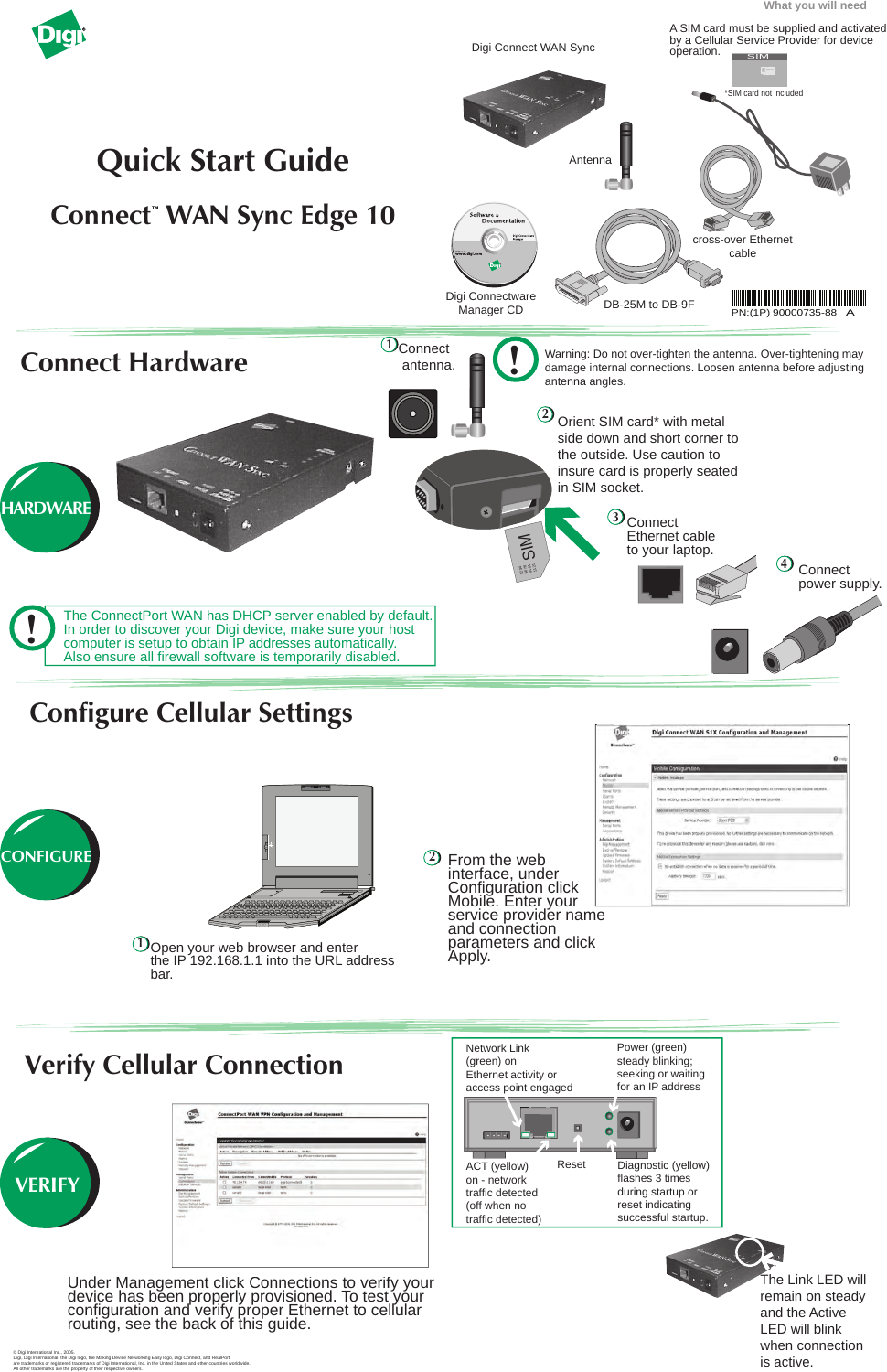The Link LED will remain on steady and the Active LED will blink when connection is active.



Network Link Power (green) steady blinking; (green) on Ethernet activity or seeking or waiting for an IP address access point engaged  $\bullet$  $\bullet$  $\boxed{\Box}$ Δ Reset Diagnostic (yellow) ACT (yellow) flashes 3 times on - network during startup or traffic detected reset indicating (off when no traffic detected) successful startup.

Under Management click Connections to verify your device has been properly provisioned. To test your configuration and verify proper Ethernet to cellular routing, see the back of this guide.



|                                                         |                                                               | Connections Management                       |                           |                        |                                                                             |  |  |
|---------------------------------------------------------|---------------------------------------------------------------|----------------------------------------------|---------------------------|------------------------|-----------------------------------------------------------------------------|--|--|
| <b>Configuration</b><br><b>Systematics</b>              |                                                               | Metall Private Services (aPID Schwassen)     |                           |                        |                                                                             |  |  |
| <b>MAGE</b><br><b>Address Black of</b>                  | Action Departplies - Korvete Address - Mulie Address - Multas |                                              |                           |                        |                                                                             |  |  |
| Algebra.                                                | No VPN connections wratistic                                  |                                              |                           |                        |                                                                             |  |  |
| <b>Lystade</b><br>Valencia Alan piperria                | Datest.                                                       |                                              |                           |                        |                                                                             |  |  |
| twenty - --                                             |                                                               | Adhee Teatres Connections'                   |                           |                        |                                                                             |  |  |
| <b>Management</b><br>Senial Portul                      |                                                               | Artist Connected From: Cananched by Protocol |                           |                        | <b>Neoding</b>                                                              |  |  |
| Commercial Co.<br><b>Ashend Lincoln</b>                 | C                                                             | 15:13.4.79                                   | 69.25.01.69               | sus (convertict)       | ×                                                                           |  |  |
| Administration                                          |                                                               | saled <b>L</b>                               | <b>Wild Irist</b>         | <b>New</b>             | ë                                                                           |  |  |
| Gar Management<br><b><i><u>Lackscottenting</u></i></b>  | O                                                             | Jariel P.                                    | Service Links             | tata.                  | ٠                                                                           |  |  |
| locks financies                                         | Patesh                                                        |                                              |                           |                        |                                                                             |  |  |
| Factors Behindt behinder.<br><b>Tushers Information</b> |                                                               |                                              |                           |                        |                                                                             |  |  |
| <b>STATISTICS</b> AND INCOME.                           |                                                               |                                              |                           |                        |                                                                             |  |  |
| copied-                                                 |                                                               |                                              |                           |                        |                                                                             |  |  |
|                                                         |                                                               |                                              | and the state of the con- | <b>CELL GOLD HOTEL</b> | Associated in Arrest Hills, Star Freemanne of Also, left sub-to-receive al- |  |  |
|                                                         |                                                               |                                              |                           |                        |                                                                             |  |  |

## **Verify Cellular Connection**